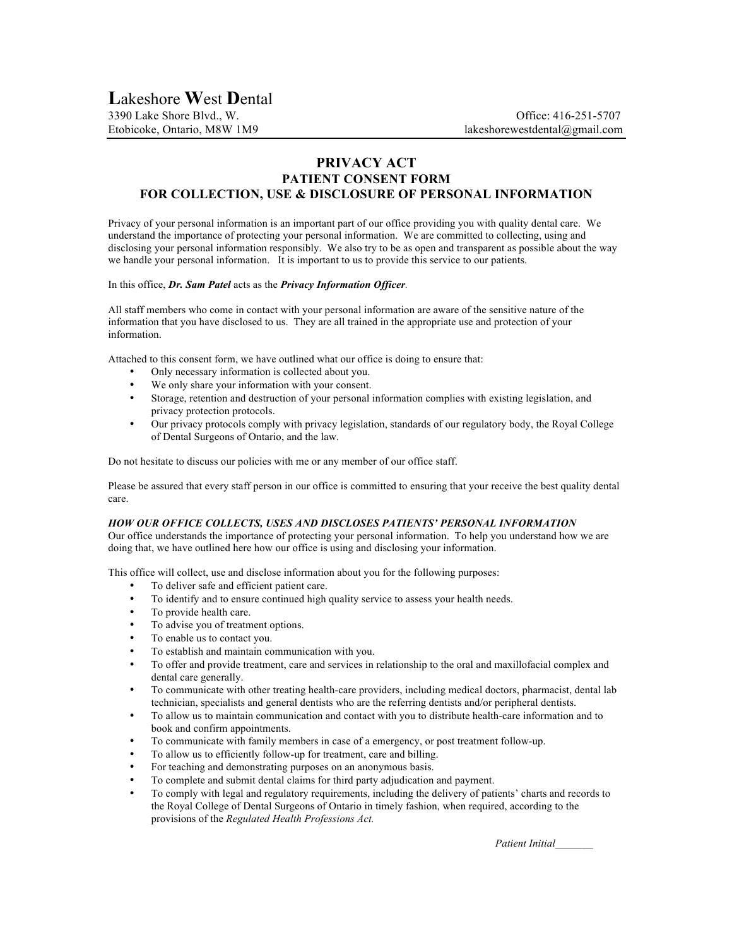# **PRIVACY ACT**

## **PATIENT CONSENT FORM FOR COLLECTION, USE & DISCLOSURE OF PERSONAL INFORMATION**

Privacy of your personal information is an important part of our office providing you with quality dental care. We understand the importance of protecting your personal information. We are committed to collecting, using and disclosing your personal information responsibly. We also try to be as open and transparent as possible about the way we handle your personal information. It is important to us to provide this service to our patients.

#### In this office, *Dr. Sam Patel* acts as the *Privacy Information Officer.*

All staff members who come in contact with your personal information are aware of the sensitive nature of the information that you have disclosed to us. They are all trained in the appropriate use and protection of your information.

Attached to this consent form, we have outlined what our office is doing to ensure that:

- Only necessary information is collected about you.
- We only share your information with your consent.<br>• Storage, retention and destruction of your personal
- Storage, retention and destruction of your personal information complies with existing legislation, and privacy protection protocols.
- Our privacy protocols comply with privacy legislation, standards of our regulatory body, the Royal College of Dental Surgeons of Ontario, and the law.

Do not hesitate to discuss our policies with me or any member of our office staff.

Please be assured that every staff person in our office is committed to ensuring that your receive the best quality dental care.

#### *HOW OUR OFFICE COLLECTS, USES AND DISCLOSES PATIENTS' PERSONAL INFORMATION*

Our office understands the importance of protecting your personal information. To help you understand how we are doing that, we have outlined here how our office is using and disclosing your information.

This office will collect, use and disclose information about you for the following purposes:

- To deliver safe and efficient patient care.
- To identify and to ensure continued high quality service to assess your health needs.
- To provide health care.
- To advise you of treatment options.
- To enable us to contact you.
- To establish and maintain communication with you.
- To offer and provide treatment, care and services in relationship to the oral and maxillofacial complex and dental care generally.
- To communicate with other treating health-care providers, including medical doctors, pharmacist, dental lab technician, specialists and general dentists who are the referring dentists and/or peripheral dentists.
- To allow us to maintain communication and contact with you to distribute health-care information and to book and confirm appointments.
- To communicate with family members in case of a emergency, or post treatment follow-up.
- To allow us to efficiently follow-up for treatment, care and billing.
- For teaching and demonstrating purposes on an anonymous basis.
- To complete and submit dental claims for third party adjudication and payment.
- To comply with legal and regulatory requirements, including the delivery of patients' charts and records to the Royal College of Dental Surgeons of Ontario in timely fashion, when required, according to the provisions of the *Regulated Health Professions Act.*

*Patient Initial\_\_\_\_\_\_\_*